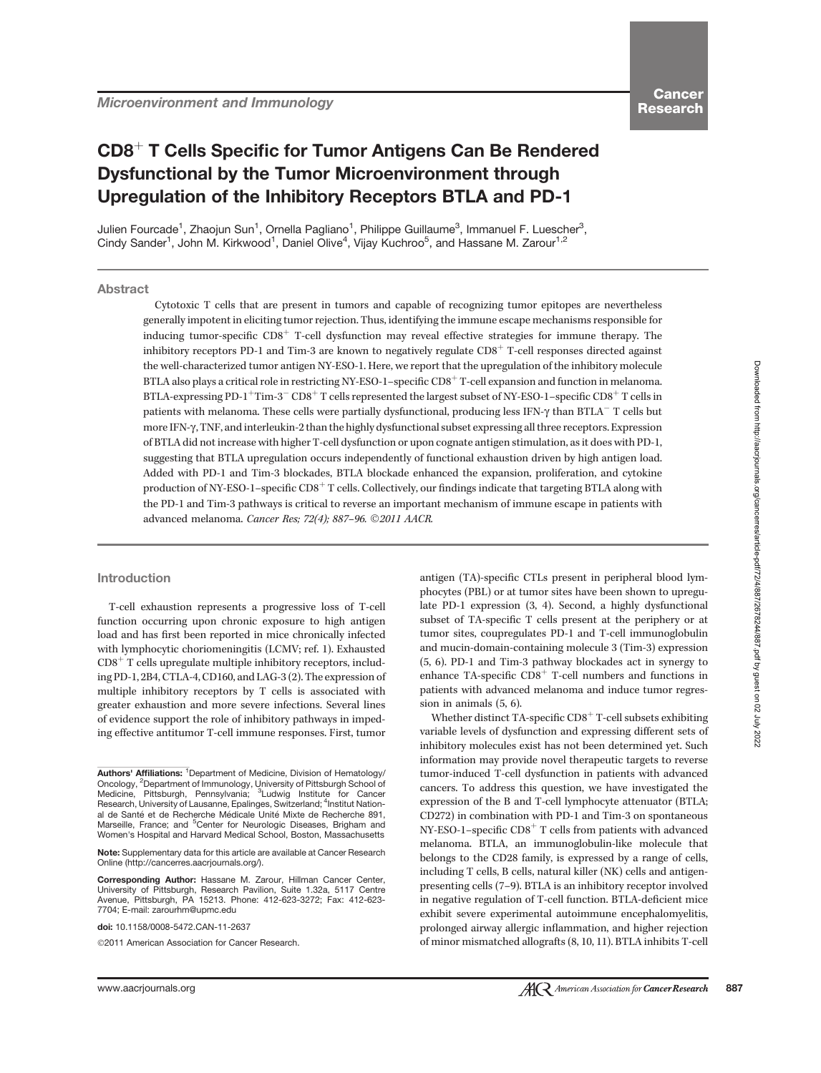Microenvironment and Immunology

# CD8<sup>+</sup> T Cells Specific for Tumor Antigens Can Be Rendered Dysfunctional by the Tumor Microenvironment through Upregulation of the Inhibitory Receptors BTLA and PD-1

Julien Fourcade<sup>1</sup>, Zhaojun Sun<sup>1</sup>, Ornella Pagliano<sup>1</sup>, Philippe Guillaume<sup>3</sup>, Immanuel F. Luescher<sup>3</sup>, Cindy Sander<sup>1</sup>, John M. Kirkwood<sup>1</sup>, Daniel Olive<sup>4</sup>, Vijay Kuchroo<sup>5</sup>, and Hassane M. Zarour<sup>1,2</sup>

## Abstract

Cytotoxic T cells that are present in tumors and capable of recognizing tumor epitopes are nevertheless generally impotent in eliciting tumor rejection. Thus, identifying the immune escape mechanisms responsible for inducing tumor-specific  $CD8<sup>+</sup>$  T-cell dysfunction may reveal effective strategies for immune therapy. The inhibitory receptors PD-1 and Tim-3 are known to negatively regulate  $CD8<sup>+</sup>$  T-cell responses directed against the well-characterized tumor antigen NY-ESO-1. Here, we report that the upregulation of the inhibitory molecule BTLA also plays a critical role in restricting NY-ESO-1–specific  $CDS^+$  T-cell expansion and function in melanoma. BTLA-expressing PD-1 $^+$ Tim-3 $^-$  CD8 $^+$  T cells represented the largest subset of NY-ESO-1–specific CD8 $^+$  T cells in patients with melanoma. These cells were partially dysfunctional, producing less IFN-g than BTLA- T cells but more IFN-g, TNF, and interleukin-2 than the highly dysfunctional subset expressing all three receptors. Expression of BTLA did not increase with higher T-cell dysfunction or upon cognate antigen stimulation, as it does with PD-1, suggesting that BTLA upregulation occurs independently of functional exhaustion driven by high antigen load. Added with PD-1 and Tim-3 blockades, BTLA blockade enhanced the expansion, proliferation, and cytokine production of NY-ESO-1–specific  $CD8<sup>+</sup> T$  cells. Collectively, our findings indicate that targeting BTLA along with the PD-1 and Tim-3 pathways is critical to reverse an important mechanism of immune escape in patients with advanced melanoma. Cancer Res; 72(4); 887-96. ©2011 AACR.

#### Introduction

T-cell exhaustion represents a progressive loss of T-cell function occurring upon chronic exposure to high antigen load and has first been reported in mice chronically infected with lymphocytic choriomeningitis (LCMV; ref. 1). Exhausted  $CD8<sup>+</sup>$  T cells upregulate multiple inhibitory receptors, including PD-1, 2B4, CTLA-4, CD160, and LAG-3 (2). The expression of multiple inhibitory receptors by T cells is associated with greater exhaustion and more severe infections. Several lines of evidence support the role of inhibitory pathways in impeding effective antitumor T-cell immune responses. First, tumor

Corresponding Author: Hassane M. Zarour, Hillman Cancer Center, University of Pittsburgh, Research Pavilion, Suite 1.32a, 5117 Centre Avenue, Pittsburgh, PA 15213. Phone: 412-623-3272; Fax: 412-623- 7704; E-mail: zarourhm@upmc.edu

doi: 10.1158/0008-5472.CAN-11-2637

2011 American Association for Cancer Research.

antigen (TA)-specific CTLs present in peripheral blood lymphocytes (PBL) or at tumor sites have been shown to upregulate PD-1 expression (3, 4). Second, a highly dysfunctional subset of TA-specific T cells present at the periphery or at tumor sites, coupregulates PD-1 and T-cell immunoglobulin and mucin-domain-containing molecule 3 (Tim-3) expression (5, 6). PD-1 and Tim-3 pathway blockades act in synergy to enhance TA-specific  $CD8<sup>+</sup>$  T-cell numbers and functions in patients with advanced melanoma and induce tumor regression in animals (5, 6).

Whether distinct TA-specific  $CD8<sup>+</sup>$  T-cell subsets exhibiting variable levels of dysfunction and expressing different sets of inhibitory molecules exist has not been determined yet. Such information may provide novel therapeutic targets to reverse tumor-induced T-cell dysfunction in patients with advanced cancers. To address this question, we have investigated the expression of the B and T-cell lymphocyte attenuator (BTLA; CD272) in combination with PD-1 and Tim-3 on spontaneous NY-ESO-1–specific  $CD8<sup>+</sup>$  T cells from patients with advanced melanoma. BTLA, an immunoglobulin-like molecule that belongs to the CD28 family, is expressed by a range of cells, including T cells, B cells, natural killer (NK) cells and antigenpresenting cells (7–9). BTLA is an inhibitory receptor involved in negative regulation of T-cell function. BTLA-deficient mice exhibit severe experimental autoimmune encephalomyelitis, prolonged airway allergic inflammation, and higher rejection of minor mismatched allografts (8, 10, 11). BTLA inhibits T-cell

Authors' Affiliations: <sup>1</sup>Department of Medicine, Division of Hematology/ Oncology, <sup>2</sup>Department of Immunology, University of Pittsburgh School of Medicine, Pittsburgh, Pennsylvania; <sup>3</sup>Ludwig Institute for Cancer Research, University of Lausanne, Epalinges, Switzerland; <sup>4</sup>Institut National de Santé et de Recherche Médicale Unité Mixte de Recherche 891 Marseille, France; and <sup>5</sup>Center for Neurologic Diseases, Brigham and Women's Hospital and Harvard Medical School, Boston, Massachusetts

Note: Supplementary data for this article are available at Cancer Research Online (http://cancerres.aacrjournals.org/).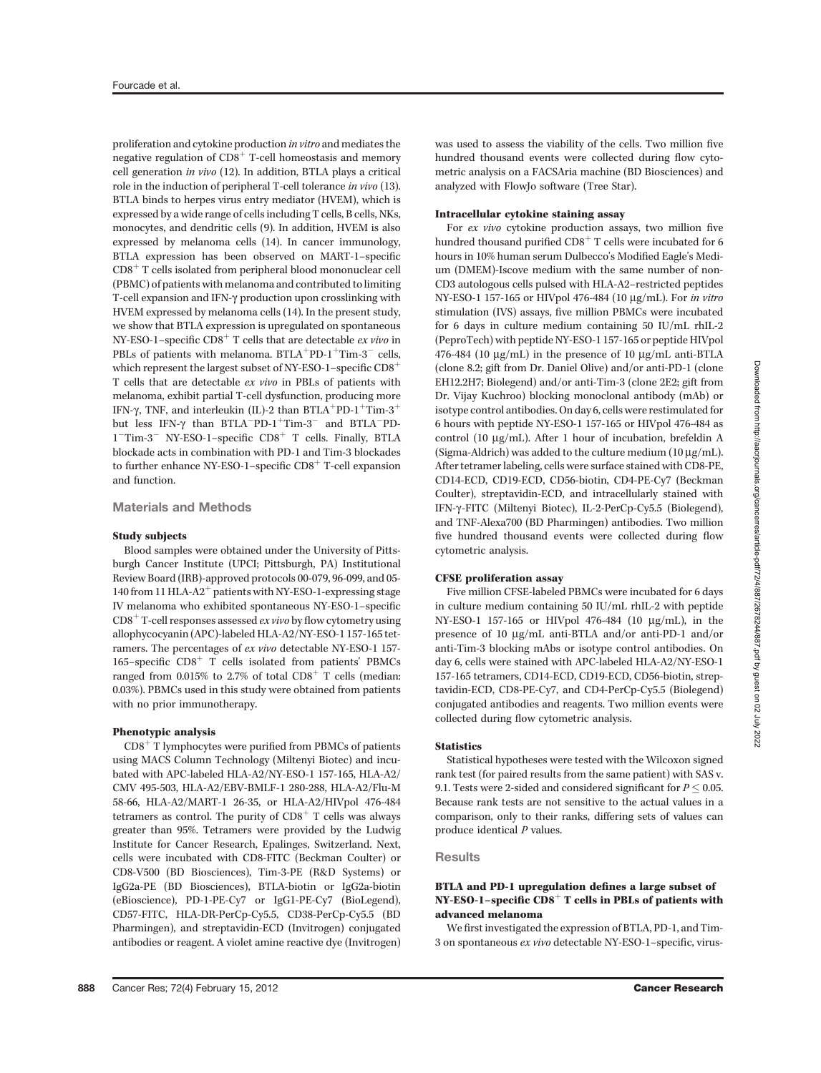proliferation and cytokine production in vitro and mediates the negative regulation of  $CD8<sup>+</sup>$  T-cell homeostasis and memory cell generation in vivo (12). In addition, BTLA plays a critical role in the induction of peripheral T-cell tolerance in vivo (13). BTLA binds to herpes virus entry mediator (HVEM), which is expressed by a wide range of cells including T cells, B cells, NKs, monocytes, and dendritic cells (9). In addition, HVEM is also expressed by melanoma cells (14). In cancer immunology, BTLA expression has been observed on MART-1–specific  $CD8<sup>+</sup>$  T cells isolated from peripheral blood mononuclear cell (PBMC) of patients with melanoma and contributed to limiting T-cell expansion and IFN- $\gamma$  production upon crosslinking with HVEM expressed by melanoma cells (14). In the present study, we show that BTLA expression is upregulated on spontaneous NY-ESO-1–specific  $CD8<sup>+</sup>$  T cells that are detectable *ex vivo* in PBLs of patients with melanoma.  $BTLA+PD-1+Tim-3-$  cells, which represent the largest subset of NY-ESO-1–specific  $CD8^+$ T cells that are detectable ex vivo in PBLs of patients with melanoma, exhibit partial T-cell dysfunction, producing more IFN- $\gamma$ , TNF, and interleukin (IL)-2 than BTLA<sup>+</sup>PD-1<sup>+</sup>Tim-3<sup>+</sup> but less IFN-γ than BTLA<sup>-p</sup>D-1<sup>+</sup>Tim-3<sup>-</sup> and BTLA<sup>-p</sup>D-<br>1<sup>-</sup>Tim-3<sup>-</sup> NV-FSO-1-specific CD8<sup>+</sup> T cells Finally BTLA 1<sup>-</sup>Tim-3<sup>-</sup> NY-ESO-1-specific CD8<sup>+</sup> T cells. Finally, BTLA blockade acts in combination with PD-1 and Tim-3 blockades to further enhance NY-ESO-1–specific  $CD8<sup>+</sup>$  T-cell expansion and function.

## Materials and Methods

#### Study subjects

Blood samples were obtained under the University of Pittsburgh Cancer Institute (UPCI; Pittsburgh, PA) Institutional Review Board (IRB)-approved protocols 00-079, 96-099, and 05- 140 from 11 HLA-A2<sup>+</sup> patients with NY-ESO-1-expressing stage IV melanoma who exhibited spontaneous NY-ESO-1–specific  $CD8<sup>+</sup>$  T-cell responses assessed *ex vivo* by flow cytometry using allophycocyanin (APC)-labeled HLA-A2/NY-ESO-1 157-165 tetramers. The percentages of ex vivo detectable NY-ESO-1 157- 165–specific  $CD8<sup>+</sup>$  T cells isolated from patients' PBMCs ranged from 0.015% to 2.7% of total  $CD8<sup>+</sup>$  T cells (median: 0.03%). PBMCs used in this study were obtained from patients with no prior immunotherapy.

## Phenotypic analysis

 $CD8<sup>+</sup>$  T lymphocytes were purified from PBMCs of patients using MACS Column Technology (Miltenyi Biotec) and incubated with APC-labeled HLA-A2/NY-ESO-1 157-165, HLA-A2/ CMV 495-503, HLA-A2/EBV-BMLF-1 280-288, HLA-A2/Flu-M 58-66, HLA-A2/MART-1 26-35, or HLA-A2/HIVpol 476-484 tetramers as control. The purity of  $CDS<sup>+</sup> T$  cells was always greater than 95%. Tetramers were provided by the Ludwig Institute for Cancer Research, Epalinges, Switzerland. Next, cells were incubated with CD8-FITC (Beckman Coulter) or CD8-V500 (BD Biosciences), Tim-3-PE (R&D Systems) or IgG2a-PE (BD Biosciences), BTLA-biotin or IgG2a-biotin (eBioscience), PD-1-PE-Cy7 or IgG1-PE-Cy7 (BioLegend), CD57-FITC, HLA-DR-PerCp-Cy5.5, CD38-PerCp-Cy5.5 (BD Pharmingen), and streptavidin-ECD (Invitrogen) conjugated antibodies or reagent. A violet amine reactive dye (Invitrogen)

#### Intracellular cytokine staining assay

For ex vivo cytokine production assays, two million five hundred thousand purified  $CD8<sup>+</sup>$  T cells were incubated for 6 hours in 10% human serum Dulbecco's Modified Eagle's Medium (DMEM)-Iscove medium with the same number of non-CD3 autologous cells pulsed with HLA-A2–restricted peptides NY-ESO-1 157-165 or HIVpol 476-484 (10 mg/mL). For in vitro stimulation (IVS) assays, five million PBMCs were incubated for 6 days in culture medium containing 50 IU/mL rhIL-2 (PeproTech) with peptide NY-ESO-1 157-165 or peptide HIVpol 476-484 (10  $\mu$ g/mL) in the presence of 10  $\mu$ g/mL anti-BTLA (clone 8.2; gift from Dr. Daniel Olive) and/or anti-PD-1 (clone EH12.2H7; Biolegend) and/or anti-Tim-3 (clone 2E2; gift from Dr. Vijay Kuchroo) blocking monoclonal antibody (mAb) or isotype control antibodies. On day 6, cells were restimulated for 6 hours with peptide NY-ESO-1 157-165 or HIVpol 476-484 as control (10 µg/mL). After 1 hour of incubation, brefeldin A (Sigma-Aldrich) was added to the culture medium  $(10 \mu g/mL)$ . After tetramer labeling, cells were surface stained with CD8-PE, CD14-ECD, CD19-ECD, CD56-biotin, CD4-PE-Cy7 (Beckman Coulter), streptavidin-ECD, and intracellularly stained with IFN-g-FITC (Miltenyi Biotec), IL-2-PerCp-Cy5.5 (Biolegend), and TNF-Alexa700 (BD Pharmingen) antibodies. Two million five hundred thousand events were collected during flow cytometric analysis.

#### CFSE proliferation assay

Five million CFSE-labeled PBMCs were incubated for 6 days in culture medium containing 50 IU/mL rhIL-2 with peptide NY-ESO-1 157-165 or HIVpol 476-484 (10 mg/mL), in the presence of 10 µg/mL anti-BTLA and/or anti-PD-1 and/or anti-Tim-3 blocking mAbs or isotype control antibodies. On day 6, cells were stained with APC-labeled HLA-A2/NY-ESO-1 157-165 tetramers, CD14-ECD, CD19-ECD, CD56-biotin, streptavidin-ECD, CD8-PE-Cy7, and CD4-PerCp-Cy5.5 (Biolegend) conjugated antibodies and reagents. Two million events were collected during flow cytometric analysis.

#### **Statistics**

Statistical hypotheses were tested with the Wilcoxon signed rank test (for paired results from the same patient) with SAS v. 9.1. Tests were 2-sided and considered significant for  $P \leq 0.05$ . Because rank tests are not sensitive to the actual values in a comparison, only to their ranks, differing sets of values can produce identical P values.

#### **Results**

## BTLA and PD-1 upregulation defines a large subset of NY-ESO-1–specific  $CD8<sup>+</sup>$  T cells in PBLs of patients with advanced melanoma

We first investigated the expression of BTLA, PD-1, and Tim-3 on spontaneous ex vivo detectable NY-ESO-1–specific, virus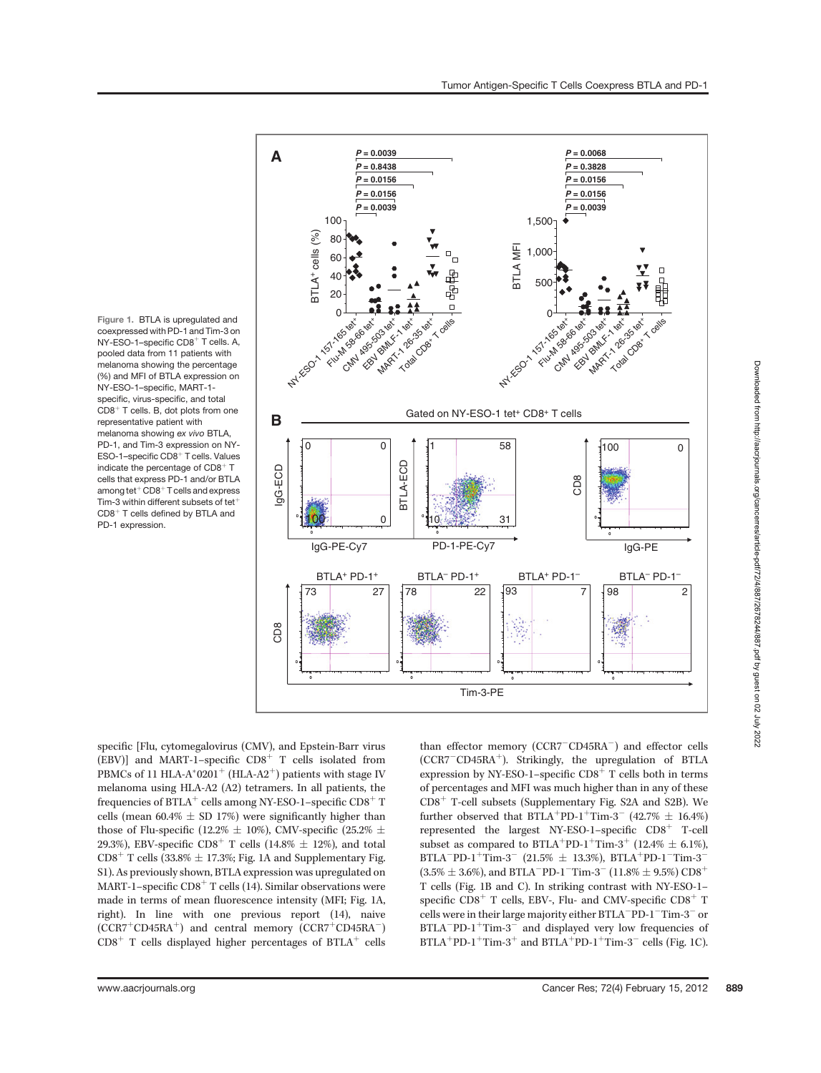Figure 1. BTLA is upregulated and coexpressed with PD-1 and Tim-3 on NY-ESO-1-specific CD8<sup>+</sup> T cells. A, pooled data from 11 patients with melanoma showing the percentage (%) and MFI of BTLA expression on NY-ESO-1–specific, MART-1 specific, virus-specific, and total  $CDB<sup>+</sup>$  T cells. B, dot plots from one representative patient with melanoma showing ex vivo BTLA, PD-1, and Tim-3 expression on NY-ESO-1-specific CD8<sup>+</sup> T cells. Values indicate the percentage of  $CD8<sup>+</sup>$  T cells that express PD-1 and/or BTLA among tet $\overline{C}$ D8<sup>+</sup> T cells and express Tim-3 within different subsets of tet $^+$  $CD8<sup>+</sup>$  T cells defined by BTLA and PD-1 expression.



Downloaded from http://aacrjournals.org/cancerres/article-pdf172/4/887/2678244/887.pdf by guest on 02 July 2022 Downloaded from http://aacrjournals.org/cancerres/article-pdf/72/4/887/2678244/887.pdf by guest on 02 July 2022

specific [Flu, cytomegalovirus (CMV), and Epstein-Barr virus (EBV)] and MART-1–specific  $CD8<sup>+</sup>$  T cells isolated from PBMCs of 11 HLA-A\*0201<sup>+</sup> (HLA-A2<sup>+</sup>) patients with stage IV melanoma using HLA-A2 (A2) tetramers. In all patients, the frequencies of BTLA<sup>+</sup> cells among NY-ESO-1–specific CD8<sup>+</sup> T cells (mean  $60.4\% \pm SD$  17%) were significantly higher than those of Flu-specific (12.2%  $\pm$  10%), CMV-specific (25.2%  $\pm$ 29.3%), EBV-specific CD8<sup>+</sup> T cells (14.8%  $\pm$  12%), and total  $CD8<sup>+</sup>$  T cells (33.8%  $\pm$  17.3%; Fig. 1A and Supplementary Fig. S1). As previously shown, BTLA expression was upregulated on MART-1–specific  $CD8<sup>+</sup>$  T cells (14). Similar observations were made in terms of mean fluorescence intensity (MFI; Fig. 1A, right). In line with one previous report (14), naive  $(CCR7<sup>+</sup>CD45RA<sup>+</sup>)$  and central memory  $(CCR7<sup>+</sup>CD45RA<sup>-</sup>)$  $CD8<sup>+</sup>$  T cells displayed higher percentages of BTLA<sup>+</sup> cells

than effector memory (CCR7<sup>-</sup>CD45RA<sup>-</sup>) and effector cells (CCR7<sup>-</sup>CD45RA<sup>+</sup>). Strikingly, the upregulation of BTLA expression by NY-ESO-1–specific  $CD8<sup>+</sup>$  T cells both in terms of percentages and MFI was much higher than in any of these  $CD8<sup>+</sup>$  T-cell subsets (Supplementary Fig. S2A and S2B). We further observed that  $BTLA^+PD-1^+Tim-3^-$  (42.7%  $\pm$  16.4%) represented the largest NY-ESO-1–specific  $CD8<sup>+</sup>$  T-cell subset as compared to BTLA<sup>+</sup>PD-1<sup>+</sup>Tim-3<sup>+</sup> (12.4%  $\pm$  6.1%),  $BTLA^-PD-1^+Tim-3^-$  (21.5%  $\pm$  13.3%),  $BTLA^+PD-1^- Tim-3^ (3.5\% \pm 3.6\%)$ , and BTLA<sup>-</sup>PD-1<sup>-</sup>Tim-3<sup>-</sup>  $(11.8\% \pm 9.5\%) \text{CD8}^+$ T cells (Fig. 1B and C). In striking contrast with NY-ESO-1– specific  $CD8<sup>+</sup>$  T cells, EBV-, Flu- and CMV-specific  $CD8<sup>+</sup>$  T cells were in their large majority either BTLA<sup>-</sup>PD-1<sup>-</sup>Tim-3<sup>-</sup> or  $BTLA^{-}PD-1^{+}Tim-3^{-}$  and displayed very low frequencies of  $BTLA^+PD-1^+Tim-3^+$  and  $BTLA^+PD-1^+Tim-3^-$  cells (Fig. 1C).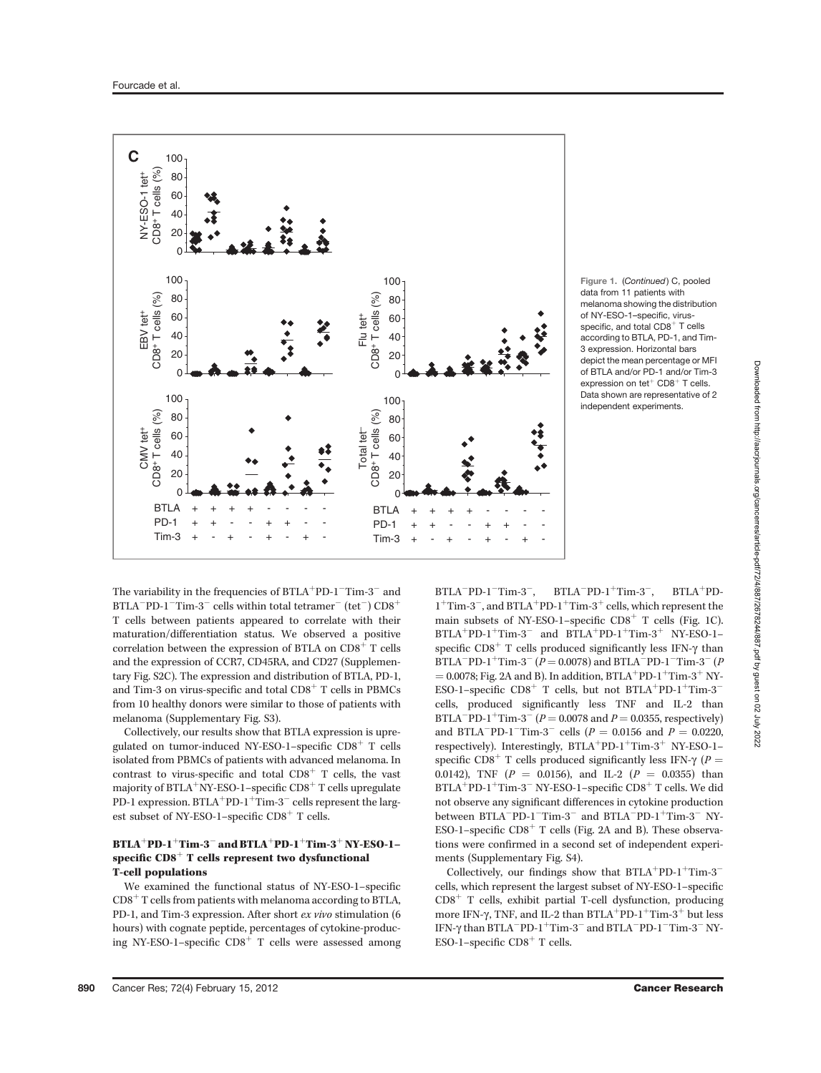

Figure 1. (Continued) C, pooled data from 11 patients with melanoma showing the distribution of NY-ESO-1–specific, virusspecific, and total  $CDB^+$  T cells according to BTLA, PD-1, and Tim-3 expression. Horizontal bars depict the mean percentage or MFI of BTLA and/or PD-1 and/or Tim-3 expression on tet<sup>+</sup> CD8<sup>+</sup> T cells. Data shown are representative of 2 independent experiments.

The variability in the frequencies of  $\operatorname{BTLA}^+\operatorname{PD-1-Tim-3}^-$  and  $\rm BTLA^-PD\text{-}1^-Tim\text{-}3^-$  cells within total tetramer $^-$  (tet $^-)$   $\rm CD8^+$ T cells between patients appeared to correlate with their maturation/differentiation status. We observed a positive correlation between the expression of BTLA on  $CD8<sup>+</sup>$  T cells and the expression of CCR7, CD45RA, and CD27 (Supplementary Fig. S2C). The expression and distribution of BTLA, PD-1, and Tim-3 on virus-specific and total  $CDS<sup>+</sup>$  T cells in PBMCs from 10 healthy donors were similar to those of patients with melanoma (Supplementary Fig. S3).

Collectively, our results show that BTLA expression is upregulated on tumor-induced NY-ESO-1–specific  $CD8<sup>+</sup>$  T cells isolated from PBMCs of patients with advanced melanoma. In contrast to virus-specific and total  $CD8<sup>+</sup>$  T cells, the vast majority of BTLA+NY-ESO-1–specific  $\text{CD8}^+$  T cells upregulate PD-1 expression. BTLA $^+$ PD-1 $^+$ Tim-3 $^-$  cells represent the largest subset of NY-ESO-1–specific  $CD8<sup>+</sup>$  T cells.

## BTLA $^+$ PD-1 $^+$ Tim-3 $^-$  and BTLA $^+$ PD-1 $^+$ Tim-3 $^+$  NY-ESO-1– specific  $CDS<sup>+</sup>$  T cells represent two dysfunctional T-cell populations

We examined the functional status of NY-ESO-1–specific  $CD8<sup>+</sup> T cells from patients with melanoma according to BTLA,$ PD-1, and Tim-3 expression. After short ex vivo stimulation (6 hours) with cognate peptide, percentages of cytokine-producing NY-ESO-1–specific  $CD8<sup>+</sup>$  T cells were assessed among

 $BTLA^-PD-1^-Tim-3^-$ ,  $BTLA^-PD-1^+Tim-3^ BTLA+PD 1^+$ Tim-3<sup>-</sup>, and BTLA<sup>+</sup>PD-1<sup>+</sup>Tim-3<sup>+</sup> cells, which represent the main subsets of NY-ESO-1–specific  $CD8<sup>+</sup>$  T cells (Fig. 1C).  $BTLA^+PD-1^+Tim-3^-$  and  $BTLA^+PD-1^+Tim-3^+$  NY-ESO-1– specific  $CD8<sup>+</sup>$  T cells produced significantly less IFN- $\gamma$  than BTLA<sup>-</sup>PD-1<sup>+</sup>Tim-3<sup>-</sup> ( $P = 0.0078$ ) and BTLA<sup>-</sup>PD-1<sup>-</sup>Tim-3<sup>-</sup> ( $P$  $= 0.0078$ ; Fig. 2A and B). In addition, BTLA<sup>+</sup>PD-1<sup>+</sup>Tim-3<sup>+</sup> NY-ESO-1–specific  $CD8^+$  T cells, but not BTLA<sup>+</sup>PD-1<sup>+</sup>Tim-3<sup>-</sup> cells, produced significantly less TNF and IL-2 than BTLA<sup>-</sup>PD-1<sup>+</sup>Tim-3<sup>-</sup> ( $P = 0.0078$  and  $P = 0.0355$ , respectively) and BTLA<sup>-</sup>PD-1<sup>-</sup>Tim-3<sup>-</sup> cells ( $P = 0.0156$  and  $P = 0.0220$ , respectively). Interestingly,  $BTLA^+PD-1^+Tim-3^+$  NY-ESO-1– specific CD8<sup>+</sup> T cells produced significantly less IFN- $\gamma$  (P = 0.0142), TNF ( $P = 0.0156$ ), and IL-2 ( $P = 0.0355$ ) than  $\rm BTLA^+PD\text{-}1^+Tim\text{-}3^-$  NY-ESO-1–specific  $\rm CD8^+$  T cells. We did not observe any significant differences in cytokine production between  $\text{BTLA}^- \text{PD-1}^- \text{Tim-3}^-$  and  $\text{BTLA}^- \text{PD-1}^+ \text{Tim-3}^- \text{ NY-}$ ESO-1–specific  $CD8<sup>+</sup>$  T cells (Fig. 2A and B). These observations were confirmed in a second set of independent experiments (Supplementary Fig. S4).

Collectively, our findings show that BTLA<sup>+</sup>PD-1<sup>+</sup>Tim-3<sup>-</sup> cells, which represent the largest subset of NY-ESO-1–specific  $CD8<sup>+</sup>$  T cells, exhibit partial T-cell dysfunction, producing more IFN- $\gamma$ , TNF, and IL-2 than BTLA<sup>+</sup>PD-1<sup>+</sup>Tim-3<sup>+</sup> but less IFN- $\gamma$  than BTLA<sup>-</sup>PD-1<sup>+</sup>Tim-3<sup>-</sup> and BTLA<sup>-</sup>PD-1<sup>-</sup>Tim-3<sup>-</sup> NY-<br>ESO-1-specific CD<sup>8+</sup> T-colls ESO-1–specific  $CD8<sup>+</sup>$  T cells.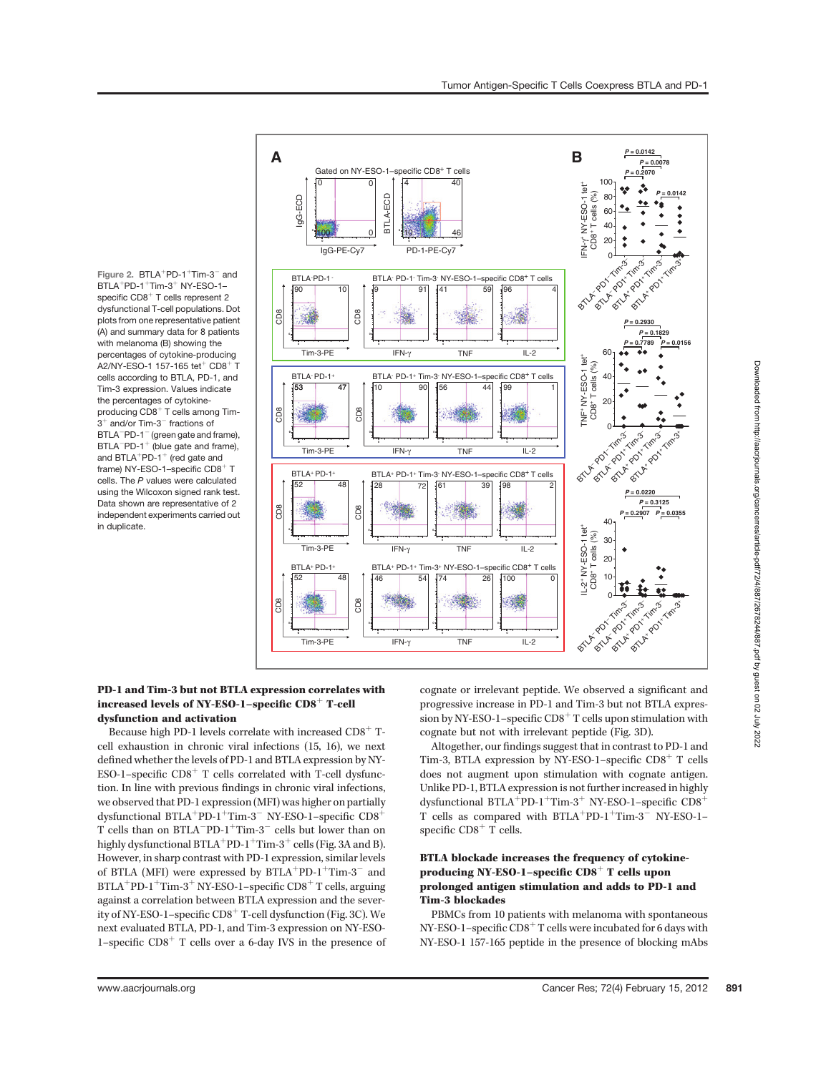Figure 2.  $BTLA+PD-1+Tim-3-$  and  $BTLA+PD-1+Tim-3+NY-ESO-1$ specific  $CD8<sup>+</sup>$  T cells represent 2 dysfunctional T-cell populations. Dot plots from one representative patient (A) and summary data for 8 patients with melanoma (B) showing the percentages of cytokine-producing A2/NY-ESO-1 157-165 tet<sup>+</sup> CD8<sup>+</sup> T cells according to BTLA, PD-1, and Tim-3 expression. Values indicate the percentages of cytokineproducing  $CDB^+$  T cells among Tim- $3^+$  and/or Tim- $3^-$  fractions of BTLA<sup>-</sup>PD-1<sup>-</sup> (green gate and frame),  $BTLA-PD-1<sup>+</sup>$  (blue gate and frame), and BTLA<sup>+</sup>PD-1<sup>+</sup> (red gate and frame) NY-ESO-1-specific  $CDB<sup>+</sup> T$ cells. The P values were calculated using the Wilcoxon signed rank test. Data shown are representative of 2 independent experiments carried out in duplicate.



## PD-1 and Tim-3 but not BTLA expression correlates with increased levels of NY-ESO-1–specific  $CD8<sup>+</sup>$  T-cell dysfunction and activation

Because high PD-1 levels correlate with increased  $CD8<sup>+</sup>$  Tcell exhaustion in chronic viral infections (15, 16), we next defined whether the levels of PD-1 and BTLA expression by NY-ESO-1–specific  $CD8<sup>+</sup>$  T cells correlated with T-cell dysfunction. In line with previous findings in chronic viral infections, we observed that PD-1 expression (MFI) was higher on partially dysfunctional BTLA<sup>+</sup>PD-1<sup>+</sup>Tim-3<sup>-</sup> NY-ESO-1-specific  $CD8^+$ T cells than on  $\text{BTLA}^- \text{PD-1}^+ \text{Tim-3}^-$  cells but lower than on highly dysfunctional BTLA<sup>+</sup>PD-1<sup>+</sup>Tim-3<sup>+</sup> cells (Fig. 3A and B). However, in sharp contrast with PD-1 expression, similar levels of BTLA (MFI) were expressed by  $BTLA<sup>+</sup>PD-1<sup>+</sup>Tim-3<sup>-</sup>$  and BTLA<sup>+</sup>PD-1<sup>+</sup>Tim-3<sup>+</sup> NY-ESO-1–specific  $CD8$ <sup>+</sup> T cells, arguing against a correlation between BTLA expression and the severity of NY-ESO-1–specific  $CD8<sup>+</sup>$  T-cell dysfunction (Fig. 3C). We next evaluated BTLA, PD-1, and Tim-3 expression on NY-ESO-1–specific  $CDS<sup>+</sup>$  T cells over a 6-day IVS in the presence of cognate or irrelevant peptide. We observed a significant and progressive increase in PD-1 and Tim-3 but not BTLA expression by NY-ESO-1–specific  $CD8<sup>+</sup>$  T cells upon stimulation with cognate but not with irrelevant peptide (Fig. 3D).

Altogether, our findings suggest that in contrast to PD-1 and Tim-3, BTLA expression by NY-ESO-1–specific  $CD8<sup>+</sup>$  T cells does not augment upon stimulation with cognate antigen. Unlike PD-1, BTLA expression is not further increased in highly dysfunctional BTLA<sup>+</sup>PD-1<sup>+</sup>Tim-3<sup>+</sup> NY-ESO-1–specific CD8<sup>+</sup> T cells as compared with  $BTLA^+PD-1^+Tim-3^-$  NY-ESO-1– specific  $CDS<sup>+</sup>$  T cells.

# BTLA blockade increases the frequency of cytokineproducing NY-ESO-1–specific  $CD8<sup>+</sup>$  T cells upon prolonged antigen stimulation and adds to PD-1 and Tim-3 blockades

PBMCs from 10 patients with melanoma with spontaneous NY-ESO-1–specific  $CD8<sup>+</sup>$  T cells were incubated for 6 days with NY-ESO-1 157-165 peptide in the presence of blocking mAbs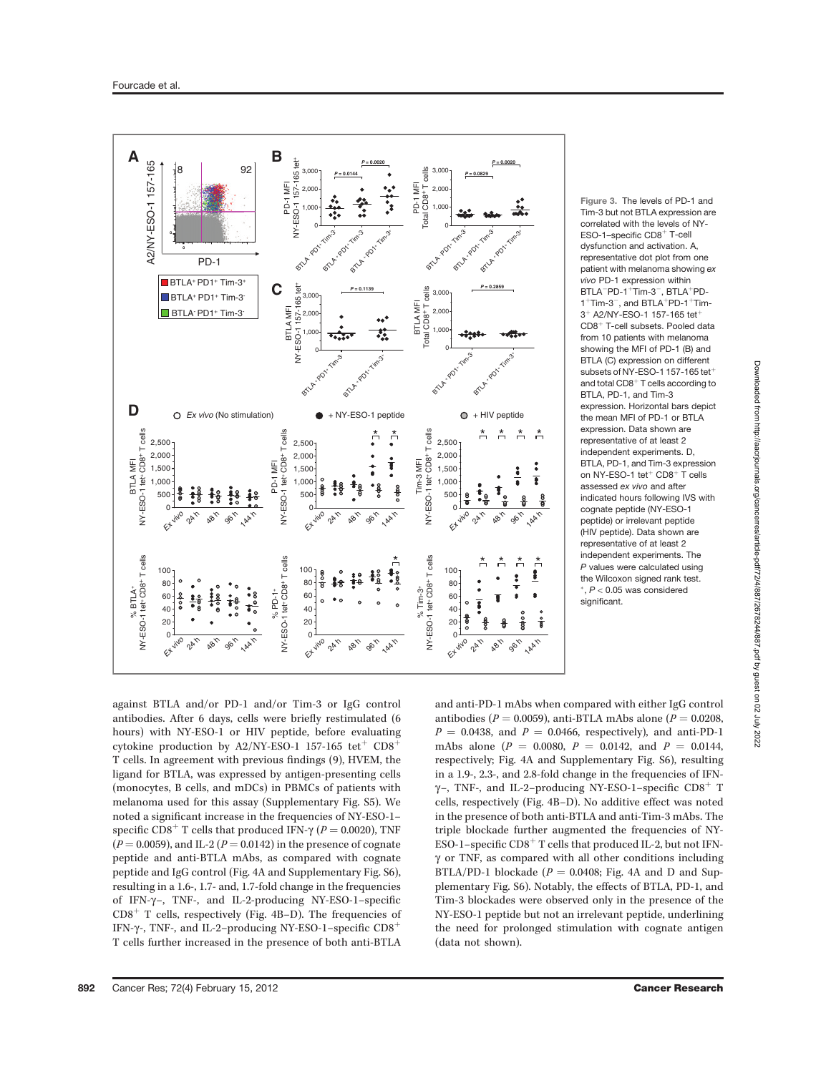

Figure 3. The levels of PD-1 and Tim-3 but not BTLA expression are correlated with the levels of NY-ESO-1-specific CD8<sup>+</sup> T-cell dysfunction and activation. A, representative dot plot from one patient with melanoma showing ex vivo PD-1 expression within  $BTLA^-PD-1^+Tim-3^-$ ,  $BTLA^+PD 1<sup>+</sup>$ Tim-3<sup>-</sup>, and BTLA<sup>+</sup>PD-1<sup>+</sup>Tim- $3^{+}$  A2/NY-ESO-1 157-165 tet  $CD8<sup>+</sup>$  T-cell subsets. Pooled data from 10 patients with melanoma showing the MFI of PD-1 (B) and BTLA (C) expression on different subsets of NY-ESO-1 157-165 tet<sup>-</sup> and total  $CDB<sup>+</sup>$  T cells according to BTLA, PD-1, and Tim-3 expression. Horizontal bars depict the mean MFI of PD-1 or BTLA expression. Data shown are representative of at least 2 independent experiments. D, BTLA, PD-1, and Tim-3 expression on NY-ESO-1 tet $^+$  CD8 $^+$  T cells assessed ex vivo and after indicated hours following IVS with cognate peptide (NY-ESO-1 peptide) or irrelevant peptide (HIV peptide). Data shown are representative of at least 2 independent experiments. The P values were calculated using the Wilcoxon signed rank test.  $P < 0.05$  was considered significant.

against BTLA and/or PD-1 and/or Tim-3 or IgG control antibodies. After 6 days, cells were briefly restimulated (6 hours) with NY-ESO-1 or HIV peptide, before evaluating cytokine production by A2/NY-ESO-1 157-165 tet<sup>+</sup>  $CD8^+$ T cells. In agreement with previous findings (9), HVEM, the ligand for BTLA, was expressed by antigen-presenting cells (monocytes, B cells, and mDCs) in PBMCs of patients with melanoma used for this assay (Supplementary Fig. S5). We noted a significant increase in the frequencies of NY-ESO-1– specific CD8<sup>+</sup> T cells that produced IFN- $\gamma$  (P = 0.0020), TNF  $(P = 0.0059)$ , and IL-2 ( $P = 0.0142$ ) in the presence of cognate peptide and anti-BTLA mAbs, as compared with cognate peptide and IgG control (Fig. 4A and Supplementary Fig. S6), resulting in a 1.6-, 1.7- and, 1.7-fold change in the frequencies of IFN-g–, TNF-, and IL-2-producing NY-ESO-1–specifi<sup>c</sup>  $CD8<sup>+</sup>$  T cells, respectively (Fig. 4B–D). The frequencies of IFN- $\gamma$ -, TNF-, and IL-2-producing NY-ESO-1-specific CD8<sup>+</sup> T cells further increased in the presence of both anti-BTLA

and anti-PD-1 mAbs when compared with either IgG control antibodies ( $P = 0.0059$ ), anti-BTLA mAbs alone ( $P = 0.0208$ ,  $P = 0.0438$ , and  $P = 0.0466$ , respectively), and anti-PD-1 mAbs alone ( $P = 0.0080$ ,  $P = 0.0142$ , and  $P = 0.0144$ , respectively; Fig. 4A and Supplementary Fig. S6), resulting in a 1.9-, 2.3-, and 2.8-fold change in the frequencies of IFN- $\gamma$ -, TNF-, and IL-2-producing NY-ESO-1-specific CD8<sup>+</sup> T cells, respectively (Fig. 4B–D). No additive effect was noted in the presence of both anti-BTLA and anti-Tim-3 mAbs. The triple blockade further augmented the frequencies of NY-ESO-1–specific  $CD8<sup>+</sup>$  T cells that produced IL-2, but not IFN- $\gamma$  or TNF, as compared with all other conditions including BTLA/PD-1 blockade ( $P = 0.0408$ ; Fig. 4A and D and Supplementary Fig. S6). Notably, the effects of BTLA, PD-1, and Tim-3 blockades were observed only in the presence of the NY-ESO-1 peptide but not an irrelevant peptide, underlining the need for prolonged stimulation with cognate antigen (data not shown).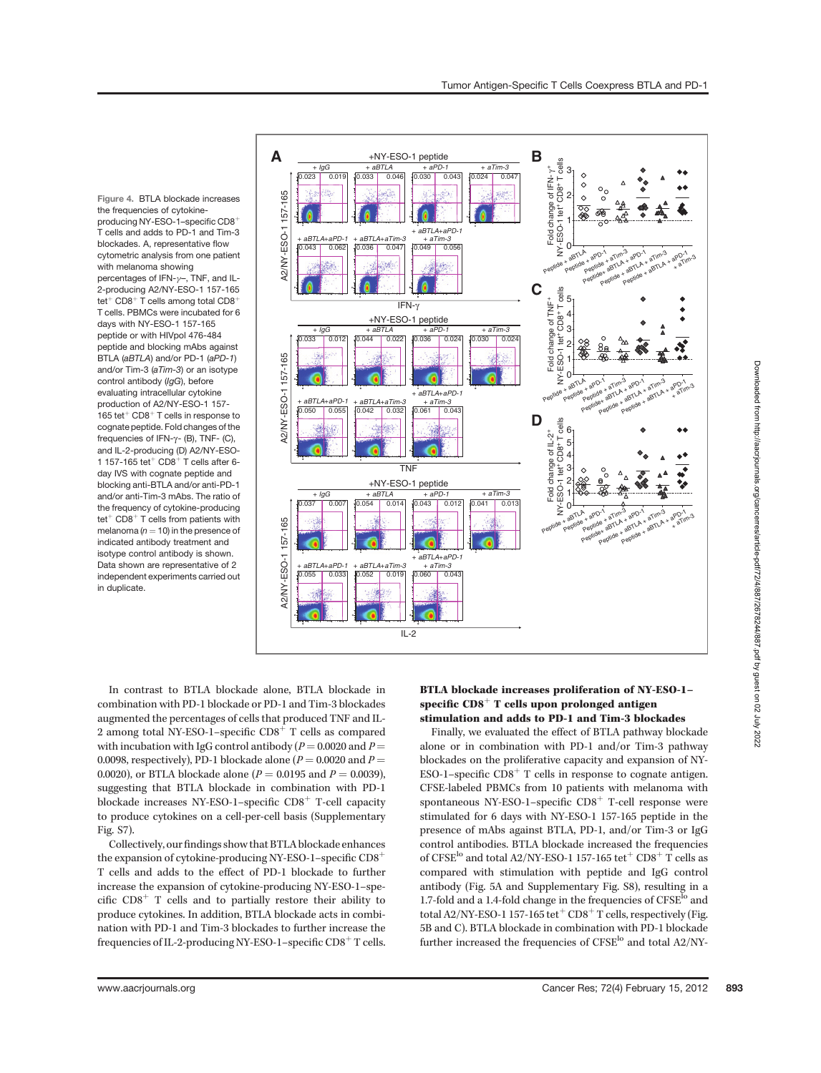Figure 4. BTLA blockade increases the frequencies of cytokineproducing NY-ESO-1-specific CD8<sup>+</sup> T cells and adds to PD-1 and Tim-3 blockades. A, representative flow cytometric analysis from one patient with melanoma showing<br>percentages of IFN- $y$ -, TNF, and ILpercentages of IFN-g–, TNF, and IL-2-producing A2/NY-ESO-1 157-165 tet<sup>+</sup> CD8<sup>+</sup> T cells among total CD8<sup>+</sup> T cells. PBMCs were incubated for 6 days with NY-ESO-1 157-165 peptide or with HIVpol 476-484 peptide and blocking mAbs against BTLA (aBTLA) and/or PD-1 (aPD-1) and/or Tim-3 (aTim-3) or an isotype control antibody (IgG), before evaluating intracellular cytokine production of A2/NY-ESO-1 157- 165 tet $+$  CD8 $+$  T cells in response to cognate peptide. Fold changes of the frequencies of IFN- $\gamma$ - (B), TNF- (C), and IL-2-producing (D) A2/NY-ESO-1 157-165 tet $^+$  CD8 $^+$  T cells after 6day IVS with cognate peptide and blocking anti-BTLA and/or anti-PD-1 and/or anti-Tim-3 mAbs. The ratio of the frequency of cytokine-producing  $tet<sup>+</sup> CD8<sup>+</sup> T cells from patients with$ melanoma ( $n = 10$ ) in the presence of indicated antibody treatment and isotype control antibody is shown. Data shown are representative of 2 independent experiments carried out in duplicate.



In contrast to BTLA blockade alone, BTLA blockade in combination with PD-1 blockade or PD-1 and Tim-3 blockades augmented the percentages of cells that produced TNF and IL-2 among total NY-ESO-1–specific  $CD8<sup>+</sup>$  T cells as compared with incubation with IgG control antibody ( $P = 0.0020$  and  $P =$ 0.0098, respectively), PD-1 blockade alone ( $P = 0.0020$  and  $P =$ 0.0020), or BTLA blockade alone ( $P = 0.0195$  and  $P = 0.0039$ ), suggesting that BTLA blockade in combination with PD-1 blockade increases NY-ESO-1–specific  $CD8<sup>+</sup>$  T-cell capacity to produce cytokines on a cell-per-cell basis (Supplementary Fig. S7).

Collectively, ourfindings show that BTLA blockade enhances the expansion of cytokine-producing NY-ESO-1–specific  $CDS<sup>+</sup>$ T cells and adds to the effect of PD-1 blockade to further increase the expansion of cytokine-producing NY-ESO-1–specific  $CD8<sup>+</sup>$  T cells and to partially restore their ability to produce cytokines. In addition, BTLA blockade acts in combination with PD-1 and Tim-3 blockades to further increase the frequencies of IL-2-producing NY-ESO-1–specific CD8 $^+$  T cells.

# BTLA blockade increases proliferation of NY-ESO-1– specific  $CDS<sup>+</sup>$  T cells upon prolonged antigen stimulation and adds to PD-1 and Tim-3 blockades

Finally, we evaluated the effect of BTLA pathway blockade alone or in combination with PD-1 and/or Tim-3 pathway blockades on the proliferative capacity and expansion of NY-ESO-1–specific  $CD8<sup>+</sup>$  T cells in response to cognate antigen. CFSE-labeled PBMCs from 10 patients with melanoma with spontaneous NY-ESO-1–specific  $CD8<sup>+</sup>$  T-cell response were stimulated for 6 days with NY-ESO-1 157-165 peptide in the presence of mAbs against BTLA, PD-1, and/or Tim-3 or IgG control antibodies. BTLA blockade increased the frequencies of CFSE<sup>lo</sup> and total A2/NY-ESO-1 157-165 tet<sup>+</sup> CD8<sup>+</sup> T cells as compared with stimulation with peptide and IgG control antibody (Fig. 5A and Supplementary Fig. S8), resulting in a 1.7-fold and a 1.4-fold change in the frequencies of CFSE<sup>lo</sup> and total A2/NY-ESO-1 157-165 tet<sup>+</sup>  $CD8$ <sup>+</sup> T cells, respectively (Fig. 5B and C). BTLA blockade in combination with PD-1 blockade further increased the frequencies of  $\text{CFSE}^{\text{lo}}$  and total A2/NY-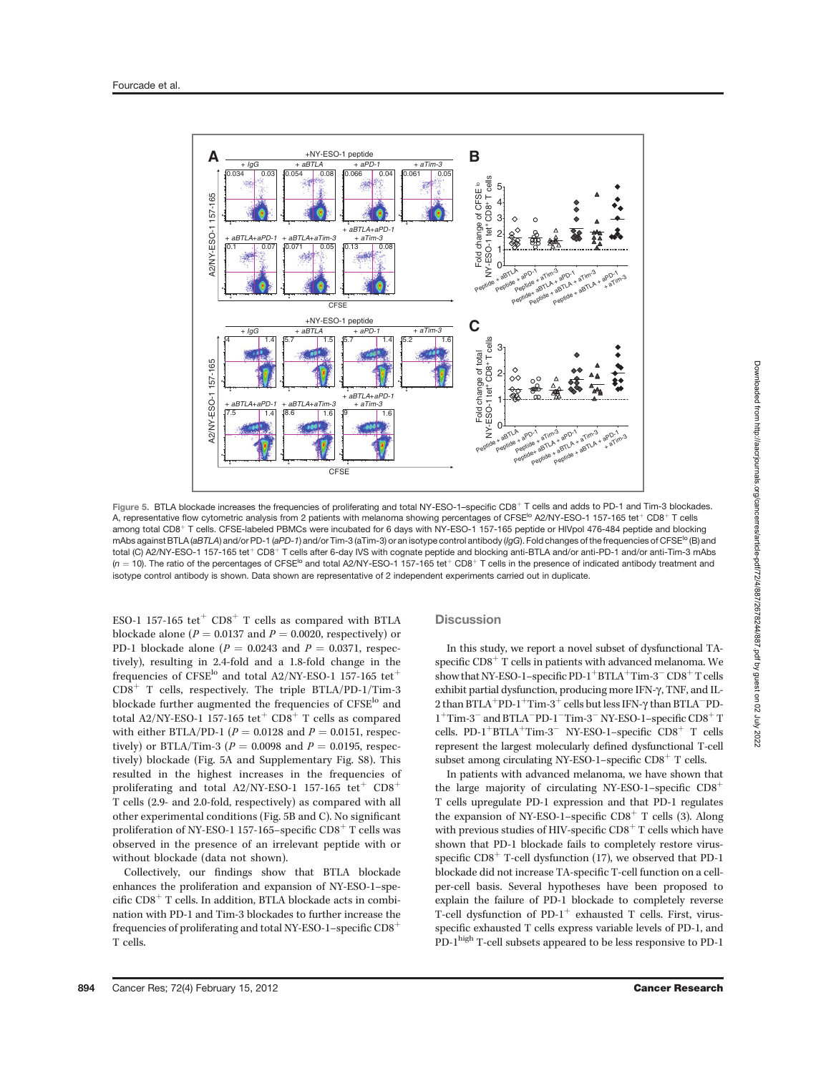

Figure 5. BTLA blockade increases the frequencies of proliferating and total NY-ESO-1-specific CD8<sup>+</sup> T cells and adds to PD-1 and Tim-3 blockades. A, representative flow cytometric analysis from 2 patients with melanoma showing percentages of CFSE<sup>Io</sup> A2/NY-ESO-1 157-165 tet<sup>+</sup> CD8<sup>+</sup> T cells among total CD8<sup>+</sup> T cells. CFSE-labeled PBMCs were incubated for 6 days with NY-ESO-1 157-165 peptide or HIVpol 476-484 peptide and blocking mAbs against BTLA (aBTLA) and/or PD-1 (aPD-1) and/or Tim-3 (aTim-3) or an isotype control antibody (IgG). Fold changes of the frequencies of CFSE<sup>10</sup> (B) and total (C) A2/NY-ESO-1 157-165 tet<sup>+</sup> CD8<sup>+</sup> T cells after 6-day IVS with cognate peptide and blocking anti-BTLA and/or anti-PD-1 and/or anti-Tim-3 mAbs  $(n = 10)$ . The ratio of the percentages of CFSE<sup>Io</sup> and total A2/NY-ESO-1 157-165 tet<sup>+</sup> CD8<sup>+</sup> T cells in the presence of indicated antibody treatment and isotype control antibody is shown. Data shown are representative of 2 independent experiments carried out in duplicate.

ESO-1 157-165 tet<sup>+</sup>  $CD8$ <sup>+</sup> T cells as compared with BTLA blockade alone ( $P = 0.0137$  and  $P = 0.0020$ , respectively) or PD-1 blockade alone ( $P = 0.0243$  and  $P = 0.0371$ , respectively), resulting in 2.4-fold and a 1.8-fold change in the frequencies of CFSE<sup>lo</sup> and total A2/NY-ESO-1 157-165 tet<sup>+</sup>  $CD8<sup>+</sup>$  T cells, respectively. The triple BTLA/PD-1/Tim-3 blockade further augmented the frequencies of CFSE<sup>lo</sup> and total A2/NY-ESO-1 157-165 tet<sup>+</sup> CD8<sup>+</sup> T cells as compared with either BTLA/PD-1 ( $P = 0.0128$  and  $P = 0.0151$ , respectively) or BTLA/Tim-3 ( $P = 0.0098$  and  $P = 0.0195$ , respectively) blockade (Fig. 5A and Supplementary Fig. S8). This resulted in the highest increases in the frequencies of proliferating and total A2/NY-ESO-1 157-165 tet<sup>+</sup>  $CD8$ <sup>+</sup> T cells (2.9- and 2.0-fold, respectively) as compared with all other experimental conditions (Fig. 5B and C). No significant proliferation of NY-ESO-1 157-165–specific  $CD8<sup>+</sup>$  T cells was observed in the presence of an irrelevant peptide with or without blockade (data not shown).

Collectively, our findings show that BTLA blockade enhances the proliferation and expansion of NY-ESO-1–specific  $CD8<sup>+</sup>$  T cells. In addition, BTLA blockade acts in combination with PD-1 and Tim-3 blockades to further increase the frequencies of proliferating and total NY-ESO-1–specific  $CD8<sup>+</sup>$ T cells.

### **Discussion**

In this study, we report a novel subset of dysfunctional TAspecific  $CD8<sup>+</sup>$  T cells in patients with advanced melanoma. We show that NY-ESO-1–specific PD-1<sup>+</sup>BTLA<sup>+</sup>Tim-3<sup>-</sup> CD8<sup>+</sup> T cells exhibit partial dysfunction, producing more IFN-g, TNF, and IL-2 than BTLA<sup>+</sup>PD-1<sup>+</sup>Tim-3<sup>+</sup> cells but less IFN- $\gamma$  than BTLA<sup>-</sup>PD-<br>1<sup>+</sup>Tim-3<sup>-</sup> and BTLA<sup>-p</sup>D-1<sup>-Tim</sup>-3<sup>-</sup> NV-FSO-1-specific CD8<sup>+</sup> T  $1^+$ Tim-3 $^-$ and BTLA $^-$ PD- $1^{\rm -}$ Tim-3 $^{\rm -}$ NY-ESO-1–specific CD8 $^{\rm +}$  T cells. PD-1<sup>+</sup>BTLA<sup>+</sup>Tim-3<sup>-</sup> NY-ESO-1-specific CD8<sup>+</sup> T cells represent the largest molecularly defined dysfunctional T-cell subset among circulating NY-ESO-1–specific  $CD8<sup>+</sup>$  T cells.

In patients with advanced melanoma, we have shown that the large majority of circulating NY-ESO-1–specific  $CD8<sup>+</sup>$ T cells upregulate PD-1 expression and that PD-1 regulates the expansion of NY-ESO-1–specific  $CD8<sup>+</sup>$  T cells (3). Along with previous studies of HIV-specific  $CD8<sup>+</sup>$  T cells which have shown that PD-1 blockade fails to completely restore virusspecific  $CD8<sup>+</sup>$  T-cell dysfunction (17), we observed that PD-1 blockade did not increase TA-specific T-cell function on a cellper-cell basis. Several hypotheses have been proposed to explain the failure of PD-1 blockade to completely reverse T-cell dysfunction of  $PD-1^+$  exhausted T cells. First, virusspecific exhausted T cells express variable levels of PD-1, and  $\rm \tilde{PD}\text{-}1^{\rm high}$  T-cell subsets appeared to be less responsive to PD-1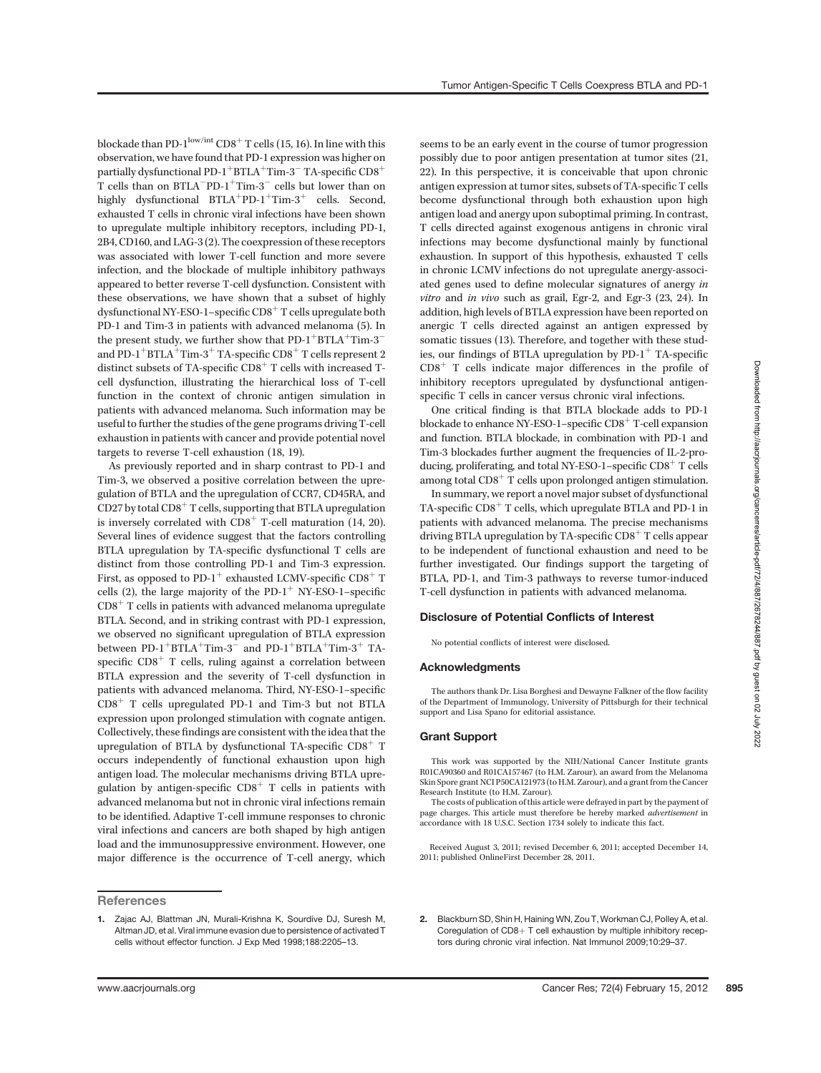blockade than PD- $1^{\text{low/int}}$  CD8<sup>+</sup> T cells (15, 16). In line with this observation, we have found that PD-1 expression was higher on partially dysfunctional PD-1<sup>+</sup>BTLA<sup>+</sup>Tim-3<sup>-</sup> TA-specific  $\text{CD8}^+$ T cells than on  $\text{BTLA}\text{^-PD-1}^+$ Tim-3 $^-$  cells but lower than on highly dysfunctional  $BTLA^+PD-1^+Tim-3^+$  cells. Second, exhausted T cells in chronic viral infections have been shown to upregulate multiple inhibitory receptors, including PD-1, 2B4, CD160, and LAG-3 (2). The coexpression of these receptors was associated with lower T-cell function and more severe infection, and the blockade of multiple inhibitory pathways appeared to better reverse T-cell dysfunction. Consistent with these observations, we have shown that a subset of highly dysfunctional NY-ESO-1–specific  $CD8<sup>+</sup>$  T cells upregulate both PD-1 and Tim-3 in patients with advanced melanoma (5). In the present study, we further show that  $PD-1+BTLA+Tim-3$ and PD-1<sup>+</sup>BTLA<sup>+</sup>Tim-3<sup>+</sup> TA-specific CD8<sup>+</sup> T cells represent 2 distinct subsets of TA-specific  $CD8<sup>+</sup>$  T cells with increased Tcell dysfunction, illustrating the hierarchical loss of T-cell function in the context of chronic antigen simulation in patients with advanced melanoma. Such information may be useful to further the studies of the gene programs driving T-cell exhaustion in patients with cancer and provide potential novel targets to reverse T-cell exhaustion (18, 19).

As previously reported and in sharp contrast to PD-1 and Tim-3, we observed a positive correlation between the upregulation of BTLA and the upregulation of CCR7, CD45RA, and  $CD27$  by total  $CD8<sup>+</sup>$  T cells, supporting that BTLA upregulation is inversely correlated with  $CD8<sup>+</sup>$  T-cell maturation (14, 20). Several lines of evidence suggest that the factors controlling BTLA upregulation by TA-specific dysfunctional T cells are distinct from those controlling PD-1 and Tim-3 expression. First, as opposed to PD-1<sup>+</sup> exhausted LCMV-specific  $CD8^+$  T cells (2), the large majority of the PD-1<sup>+</sup> NY-ESO-1–specific  $CD8<sup>+</sup>$  T cells in patients with advanced melanoma upregulate BTLA. Second, and in striking contrast with PD-1 expression, we observed no significant upregulation of BTLA expression between  $PD-1$ <sup>+</sup>BTLA<sup>+</sup>Tim-3<sup>-</sup> and  $PD-1$ <sup>+</sup>BTLA<sup>+</sup>Tim-3<sup>+</sup> TAspecific  $CD8<sup>+</sup>$  T cells, ruling against a correlation between BTLA expression and the severity of T-cell dysfunction in patients with advanced melanoma. Third, NY-ESO-1–specific  $CD8<sup>+</sup>$  T cells upregulated PD-1 and Tim-3 but not BTLA expression upon prolonged stimulation with cognate antigen. Collectively, these findings are consistent with the idea that the upregulation of BTLA by dysfunctional TA-specific  $CD8<sup>+</sup>$  T occurs independently of functional exhaustion upon high antigen load. The molecular mechanisms driving BTLA upregulation by antigen-specific  $CD8<sup>+</sup>$  T cells in patients with advanced melanoma but not in chronic viral infections remain to be identified. Adaptive T-cell immune responses to chronic viral infections and cancers are both shaped by high antigen load and the immunosuppressive environment. However, one major difference is the occurrence of T-cell anergy, which

# **References**

seems to be an early event in the course of tumor progression possibly due to poor antigen presentation at tumor sites (21, 22). In this perspective, it is conceivable that upon chronic antigen expression at tumor sites, subsets of TA-specific T cells become dysfunctional through both exhaustion upon high antigen load and anergy upon suboptimal priming. In contrast, T cells directed against exogenous antigens in chronic viral infections may become dysfunctional mainly by functional exhaustion. In support of this hypothesis, exhausted T cells in chronic LCMV infections do not upregulate anergy-associated genes used to define molecular signatures of anergy in vitro and in vivo such as grail, Egr-2, and Egr-3 (23, 24). In addition, high levels of BTLA expression have been reported on anergic T cells directed against an antigen expressed by somatic tissues (13). Therefore, and together with these studies, our findings of BTLA upregulation by  $PD-1^+$  TA-specific  $CD8<sup>+</sup>$  T cells indicate major differences in the profile of inhibitory receptors upregulated by dysfunctional antigenspecific T cells in cancer versus chronic viral infections.

One critical finding is that BTLA blockade adds to PD-1 blockade to enhance NY-ESO-1–specific  $CD8<sup>+</sup>$  T-cell expansion and function. BTLA blockade, in combination with PD-1 and Tim-3 blockades further augment the frequencies of IL-2-producing, proliferating, and total NY-ESO-1–specific  $CD8<sup>+</sup>$  T cells among total  $CD8<sup>+</sup>$  T cells upon prolonged antigen stimulation.

In summary, we report a novel major subset of dysfunctional TA-specific  $CD8<sup>+</sup>$  T cells, which upregulate BTLA and PD-1 in patients with advanced melanoma. The precise mechanisms driving BTLA upregulation by TA-specific  $CD8<sup>+</sup>$  T cells appear to be independent of functional exhaustion and need to be further investigated. Our findings support the targeting of BTLA, PD-1, and Tim-3 pathways to reverse tumor-induced T-cell dysfunction in patients with advanced melanoma.

#### Disclosure of Potential Conflicts of Interest

No potential conflicts of interest were disclosed.

#### Acknowledgments

The authors thank Dr. Lisa Borghesi and Dewayne Falkner of the flow facility of the Department of Immunology, University of Pittsburgh for their technical support and Lisa Spano for editorial assistance.

#### Grant Support

This work was supported by the NIH/National Cancer Institute grants R01CA90360 and R01CA157467 (to H.M. Zarour), an award from the Melanoma Skin Spore grant NCI P50CA121973 (to H.M. Zarour), and a grant from the Cancer Research Institute (to H.M. Zarour).

The costs of publication of this article were defrayed in part by the payment of page charges. This article must therefore be hereby marked advertisement in accordance with 18 U.S.C. Section 1734 solely to indicate this fact.

Received August 3, 2011; revised December 6, 2011; accepted December 14, 2011; published OnlineFirst December 28, 2011.

2. Blackburn SD, Shin H, Haining WN, Zou T, Workman CJ, Polley A, et al. Coregulation of  $CD8+T$  cell exhaustion by multiple inhibitory receptors during chronic viral infection. Nat Immunol 2009;10:29–37.

<sup>1.</sup> Zajac AJ, Blattman JN, Murali-Krishna K, Sourdive DJ, Suresh M, Altman JD, et al. Viral immune evasion due to persistence of activated T cells without effector function. J Exp Med 1998;188:2205–13.